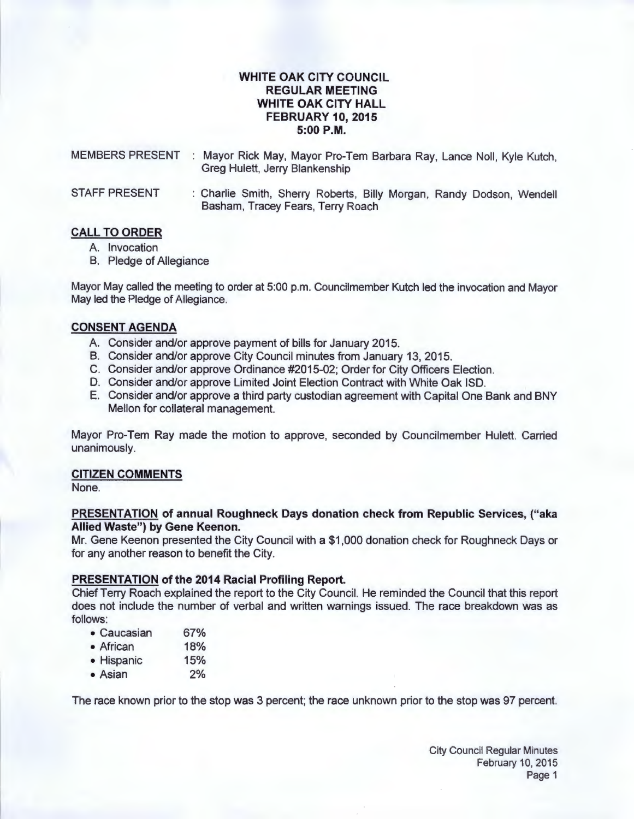# **WHITE OAK CITY COUNCIL REGULAR MEETING WHITE OAK CITY HALL FEBRUARY 10, 2015**  5:00 P.M.

MEMBERS PRESENT : Mayor Rick May, Mayor Pro-Tem Barbara Ray, Lance Noll, Kyle Kutch, Greg Hulett, Jerry Blankenship

STAFF PRESENT : Charlie Smith, Sherry Roberts, Billy Morgan, Randy Dodson, Wendell Basham, Tracey Fears, Terry Roach

## **CALL TO ORDER**

- A. Invocation
- B. Pledge of Allegiance

Mayor May called the meeting to order at 5:00 p.m. Councilmember Kutch led the invocation and Mayor May led the Pledge of Allegiance.

# **CONSENT AGENDA**

- A. Consider and/or approve payment of bills for January 2015.
- B. Consider and/or approve City Council minutes from January 13, 2015.
- C. Consider and/or approve Ordinance #2015-02; Order for City Officers Election.
- D. Consider and/or approve Limited Joint Election Contract with White Oak lSD.
- E. Consider and/or approve a third party custodian agreement with Capital One Bank and BNY Mellon for collateral management.

Mayor Pro-Tem Ray made the motion to approve, seconded by Councilmember Hulett. Carried unanimously.

## **CITIZEN COMMENTS**

None.

### **PRESENTATION of annual Roughneck Days donation check from Republic Services, ("aka Allied Waste") by Gene Keenon.**

Mr. Gene Keenon presented the City Council with a \$1 ,000 donation check for Roughneck Days or for any another reason to benefit the City.

## **PRESENTATION of the 2014 Racial Profiling Report.**

Chief Terry Roach explained the report to the City Council. He reminded the Council that this report does not include the number of verbal and written warnings issued. The race breakdown was as follows:

- Caucasian 67%
- African 18%
- Hispanic 15%
- Asian 2%

The race known prior to the stop was 3 percent; the race unknown prior to the stop was 97 percent.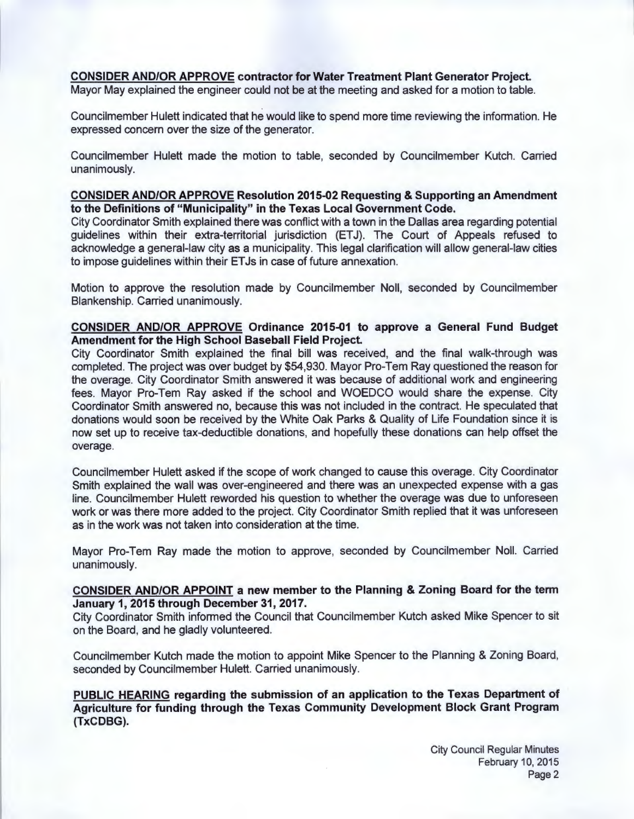# **CONSIDER AND/OR APPROVE contractor for Water Treatment Plant Generator Project.**

Mayor May explained the engineer could not be at the meeting and asked for a motion to table.

Councilmember Hulett indicated that he would like to spend more time reviewing the information. He expressed concern over the size of the generator.

Councilmember Hulett made the motion to table, seconded by Councilmember Kutch. Carried unanimously.

## **CONSIDER AND/OR APPROVE Resolution 2015-02 Requesting & Supporting an Amendment to the Definitions of "Municipality" in the Texas Local Government Code.**

City Coordinator Smith explained there was conflict with a town in the Dallas area regarding potential guidelines within their extra-territorial jurisdiction (ETJ). The Court of Appeals refused to acknowledge a general-law city as a municipality. This legal clarification will allow general-law cities to impose guidelines within their ETJs in case of future annexation.

Motion to approve the resolution made by Councilmember Noll, seconded by Councilmember Blankenship. Carried unanimously.

## **CONSIDER AND/OR APPROVE Ordinance 2015-01 to approve a General Fund Budget Amendment for the High School Baseball Field Project.**

City Coordinator Smith explained the final bill was received, and the final walk-through was completed. The project was over budget by \$54,930. Mayor Pro-Tem Ray questioned the reason for the overage. City Coordinator Smith answered it was because of additional work and engineering fees. Mayor Pro-Tem Ray asked if the school and WOEDCO would share the expense. City Coordinator Smith answered no, because this was not included in the contract. He speculated that donations would soon be received by the White Oak Parks & Quality of Life Foundation since it is now set up to receive tax-deductible donations, and hopefully these donations can help offset the overage.

Councilmember Hulett asked if the scope of work changed to cause this overage. City Coordinator Smith explained the wall was over-engineered and there was an unexpected expense with a gas line. Councilmember Hulett reworded his question to whether the overage was due to unforeseen work or was there more added to the project. City Coordinator Smith replied that it was unforeseen as in the work was not taken into consideration at the time.

Mayor Pro-Tem Ray made the motion to approve, seconded by Councilmember Noll. Carried unanimously.

## **CONSIDER AND/OR APPOINT a new member to the Planning & Zoning Board for the term January 1, 2015 through December 31, 2017.**

City Coordinator Smith informed the Council that Councilmember Kutch asked Mike Spencer to sit on the Board, and he gladly volunteered.

Councilmember Kutch made the motion to appoint Mike Spencer to the Planning & Zoning Board, seconded by Councilmember Hulett. Carried unanimously.

**PUBLIC HEARING regarding the submission of an application to the Texas Department of Agriculture for funding through the Texas Community Development Block Grant Program (TxCDBG).**